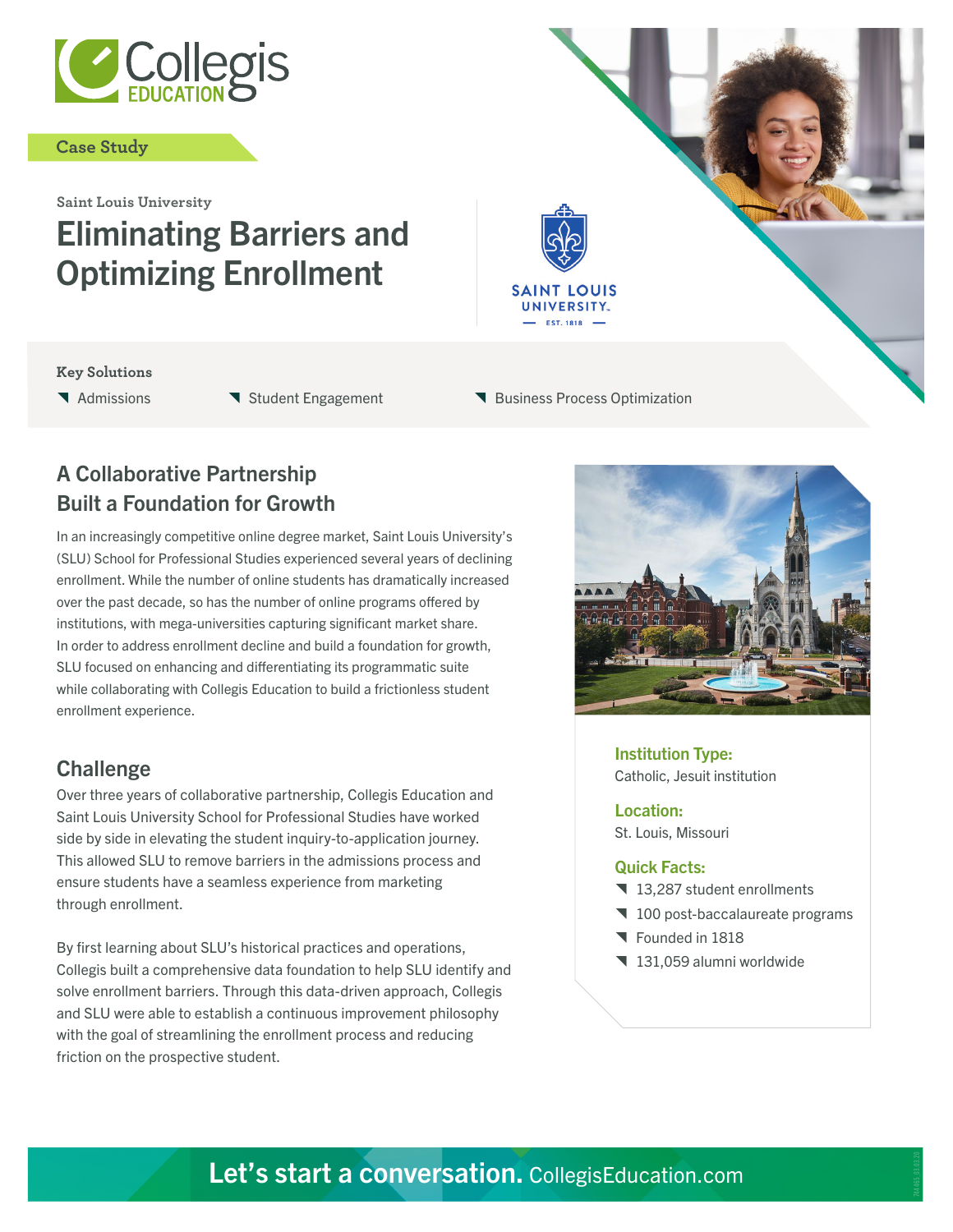

#### **Case Study**

# **Saint Louis University** Eliminating Barriers and Optimizing Enrollment

#### **Key Solutions**

- 
- **T** Admissions **T** Student Engagement **T** Business Process Optimization

**SAINT LOUIS** UNIVERSITY.

## A Collaborative Partnership Built a Foundation for Growth

In an increasingly competitive online degree market, Saint Louis University's (SLU) School for Professional Studies experienced several years of declining enrollment. While the number of online students has dramatically increased over the past decade, so has the number of online programs offered by institutions, with mega-universities capturing significant market share. In order to address enrollment decline and build a foundation for growth, SLU focused on enhancing and differentiating its programmatic suite while collaborating with Collegis Education to build a frictionless student enrollment experience.

### **Challenge**

Over three years of collaborative partnership, Collegis Education and Saint Louis University School for Professional Studies have worked side by side in elevating the student inquiry-to-application journey. This allowed SLU to remove barriers in the admissions process and ensure students have a seamless experience from marketing through enrollment.

By first learning about SLU's historical practices and operations, Collegis built a comprehensive data foundation to help SLU identify and solve enrollment barriers. Through this data-driven approach, Collegis and SLU were able to establish a continuous improvement philosophy with the goal of streamlining the enrollment process and reducing friction on the prospective student.



Institution Type: Catholic, Jesuit institution

Location: St. Louis, Missouri

#### Quick Facts:

- 13,287 student enrollments
- 100 post-baccalaureate programs
- **T** Founded in 1818
- 131,059 alumni worldwide